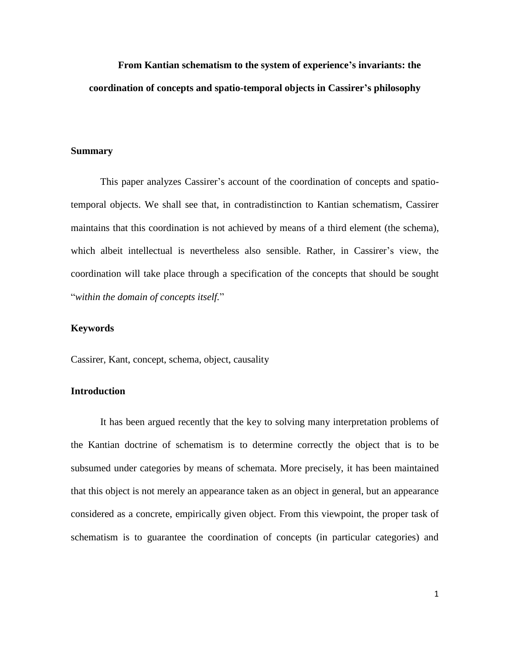**From Kantian schematism to the system of experience's invariants: the coordination of concepts and spatio-temporal objects in Cassirer's philosophy**

### **Summary**

This paper analyzes Cassirer's account of the coordination of concepts and spatiotemporal objects. We shall see that, in contradistinction to Kantian schematism, Cassirer maintains that this coordination is not achieved by means of a third element (the schema), which albeit intellectual is nevertheless also sensible. Rather, in Cassirer's view, the coordination will take place through a specification of the concepts that should be sought "*within the domain of concepts itself.*"

#### **Keywords**

Cassirer, Kant, concept, schema, object, causality

# **Introduction**

It has been argued recently that the key to solving many interpretation problems of the Kantian doctrine of schematism is to determine correctly the object that is to be subsumed under categories by means of schemata. More precisely, it has been maintained that this object is not merely an appearance taken as an object in general, but an appearance considered as a concrete, empirically given object. From this viewpoint, the proper task of schematism is to guarantee the coordination of concepts (in particular categories) and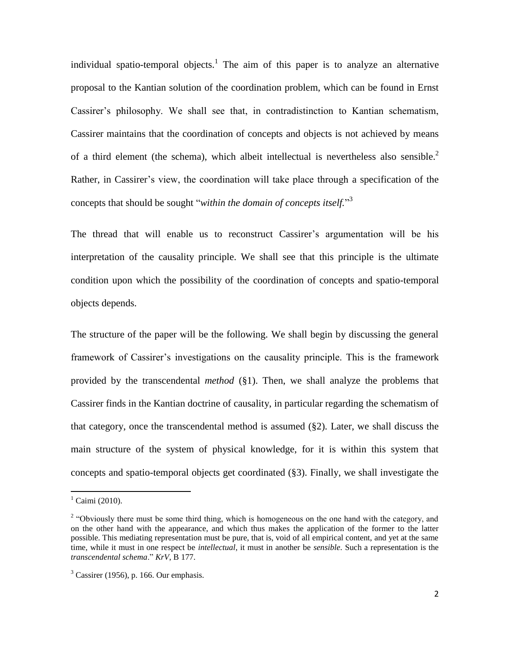individual spatio-temporal objects.<sup>1</sup> The aim of this paper is to analyze an alternative proposal to the Kantian solution of the coordination problem, which can be found in Ernst Cassirer"s philosophy. We shall see that, in contradistinction to Kantian schematism, Cassirer maintains that the coordination of concepts and objects is not achieved by means of a third element (the schema), which albeit intellectual is nevertheless also sensible.<sup>2</sup> Rather, in Cassirer"s view, the coordination will take place through a specification of the concepts that should be sought "*within the domain of concepts itself.*" 3

The thread that will enable us to reconstruct Cassirer"s argumentation will be his interpretation of the causality principle. We shall see that this principle is the ultimate condition upon which the possibility of the coordination of concepts and spatio-temporal objects depends.

The structure of the paper will be the following. We shall begin by discussing the general framework of Cassirer's investigations on the causality principle. This is the framework provided by the transcendental *method* (§1). Then, we shall analyze the problems that Cassirer finds in the Kantian doctrine of causality, in particular regarding the schematism of that category, once the transcendental method is assumed (§2). Later, we shall discuss the main structure of the system of physical knowledge, for it is within this system that concepts and spatio-temporal objects get coordinated (§3). Finally, we shall investigate the

 $^{1}$  Caimi (2010).

<sup>&</sup>lt;sup>2</sup> "Obviously there must be some third thing, which is homogeneous on the one hand with the category, and on the other hand with the appearance, and which thus makes the application of the former to the latter possible. This mediating representation must be pure, that is, void of all empirical content, and yet at the same time, while it must in one respect be *intellectual*, it must in another be *sensible*. Such a representation is the *transcendental schema*." *KrV*, B 177.

 $3$  Cassirer (1956), p. 166. Our emphasis.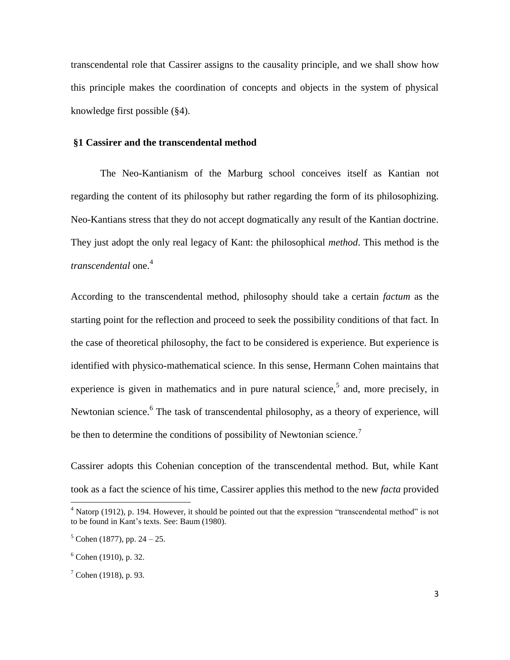transcendental role that Cassirer assigns to the causality principle, and we shall show how this principle makes the coordination of concepts and objects in the system of physical knowledge first possible (§4).

### **§1 Cassirer and the transcendental method**

The Neo-Kantianism of the Marburg school conceives itself as Kantian not regarding the content of its philosophy but rather regarding the form of its philosophizing. Neo-Kantians stress that they do not accept dogmatically any result of the Kantian doctrine. They just adopt the only real legacy of Kant: the philosophical *method*. This method is the *transcendental* one. 4

According to the transcendental method, philosophy should take a certain *factum* as the starting point for the reflection and proceed to seek the possibility conditions of that fact. In the case of theoretical philosophy, the fact to be considered is experience. But experience is identified with physico-mathematical science. In this sense, Hermann Cohen maintains that experience is given in mathematics and in pure natural science,  $5$  and, more precisely, in Newtonian science.<sup>6</sup> The task of transcendental philosophy, as a theory of experience, will be then to determine the conditions of possibility of Newtonian science.<sup>7</sup>

Cassirer adopts this Cohenian conception of the transcendental method. But, while Kant took as a fact the science of his time, Cassirer applies this method to the new *facta* provided

<sup>4</sup> Natorp (1912), p. 194. However, it should be pointed out that the expression "transcendental method" is not to be found in Kant's texts. See: Baum (1980).

 $5$  Cohen (1877), pp. 24 – 25.

 $6$  Cohen (1910), p. 32.

 $7^7$  Cohen (1918), p. 93.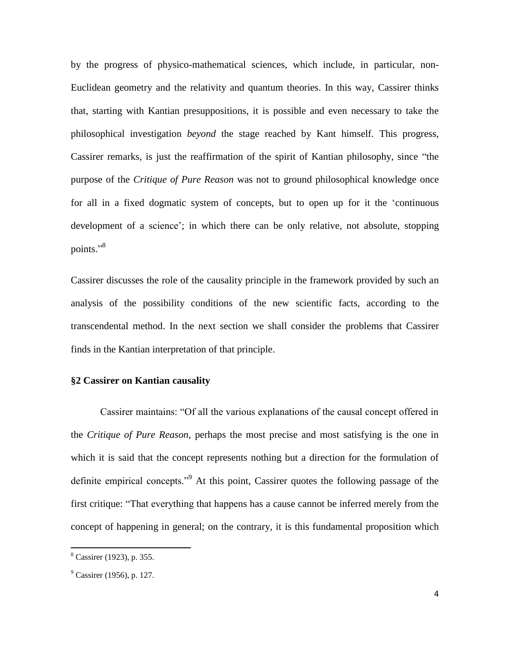by the progress of physico-mathematical sciences, which include, in particular, non-Euclidean geometry and the relativity and quantum theories. In this way, Cassirer thinks that, starting with Kantian presuppositions, it is possible and even necessary to take the philosophical investigation *beyond* the stage reached by Kant himself. This progress, Cassirer remarks, is just the reaffirmation of the spirit of Kantian philosophy, since "the purpose of the *Critique of Pure Reason* was not to ground philosophical knowledge once for all in a fixed dogmatic system of concepts, but to open up for it the "continuous development of a science'; in which there can be only relative, not absolute, stopping points."<sup>8</sup>

Cassirer discusses the role of the causality principle in the framework provided by such an analysis of the possibility conditions of the new scientific facts, according to the transcendental method. In the next section we shall consider the problems that Cassirer finds in the Kantian interpretation of that principle.

### **§2 Cassirer on Kantian causality**

Cassirer maintains: "Of all the various explanations of the causal concept offered in the *Critique of Pure Reason*, perhaps the most precise and most satisfying is the one in which it is said that the concept represents nothing but a direction for the formulation of definite empirical concepts."<sup>9</sup> At this point, Cassirer quotes the following passage of the first critique: "That everything that happens has a cause cannot be inferred merely from the concept of happening in general; on the contrary, it is this fundamental proposition which

<sup>8</sup> Cassirer (1923), p. 355.

 $^{9}$  Cassirer (1956), p. 127.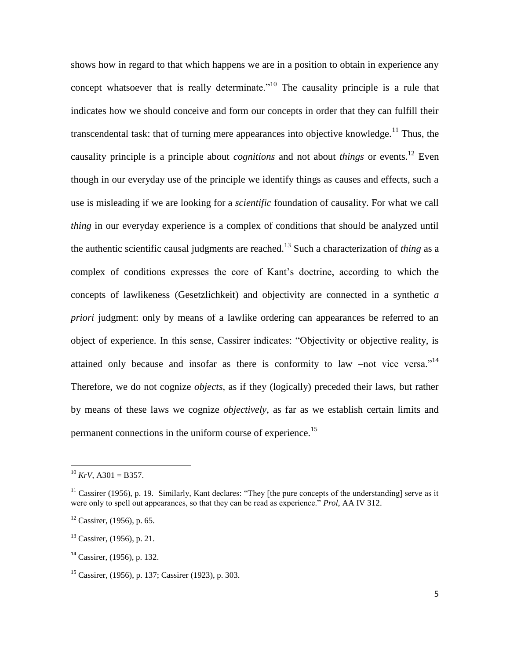shows how in regard to that which happens we are in a position to obtain in experience any concept whatsoever that is really determinate.<sup> $10$ </sup> The causality principle is a rule that indicates how we should conceive and form our concepts in order that they can fulfill their transcendental task: that of turning mere appearances into objective knowledge.<sup>11</sup> Thus, the causality principle is a principle about *cognitions* and not about *things* or events.<sup>12</sup> Even though in our everyday use of the principle we identify things as causes and effects, such a use is misleading if we are looking for a *scientific* foundation of causality. For what we call *thing* in our everyday experience is a complex of conditions that should be analyzed until the authentic scientific causal judgments are reached.<sup>13</sup> Such a characterization of *thing* as a complex of conditions expresses the core of Kant"s doctrine, according to which the concepts of lawlikeness (Gesetzlichkeit) and objectivity are connected in a synthetic *a priori* judgment: only by means of a lawlike ordering can appearances be referred to an object of experience. In this sense, Cassirer indicates: "Objectivity or objective reality, is attained only because and insofar as there is conformity to law –not vice versa."<sup>14</sup> Therefore, we do not cognize *objects*, as if they (logically) preceded their laws, but rather by means of these laws we cognize *objectively,* as far as we establish certain limits and permanent connections in the uniform course of experience.<sup>15</sup>

 $10$  *KrV*, A301 = B357.

 $11$  Cassirer (1956), p. 19. Similarly, Kant declares: "They [the pure concepts of the understanding] serve as it were only to spell out appearances, so that they can be read as experience." *Prol*, AA IV 312.

 $12$  Cassirer, (1956), p. 65.

<sup>13</sup> Cassirer, (1956), p. 21.

 $14$  Cassirer, (1956), p. 132.

<sup>15</sup> Cassirer, (1956), p. 137; Cassirer (1923), p. 303.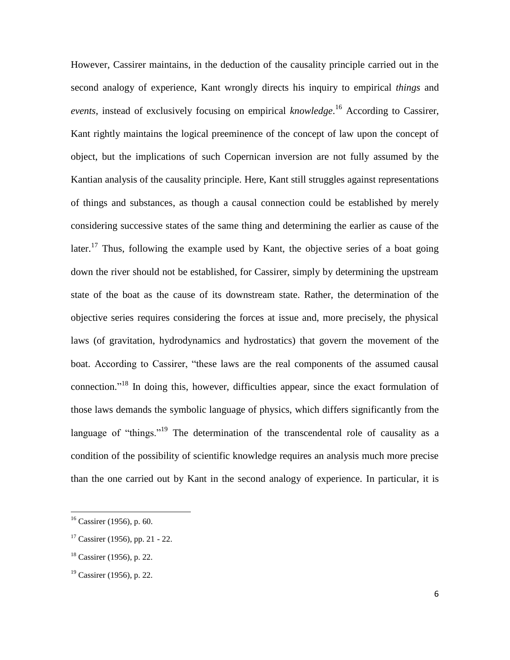However, Cassirer maintains, in the deduction of the causality principle carried out in the second analogy of experience, Kant wrongly directs his inquiry to empirical *things* and *events*, instead of exclusively focusing on empirical *knowledge*. <sup>16</sup> According to Cassirer, Kant rightly maintains the logical preeminence of the concept of law upon the concept of object, but the implications of such Copernican inversion are not fully assumed by the Kantian analysis of the causality principle. Here, Kant still struggles against representations of things and substances, as though a causal connection could be established by merely considering successive states of the same thing and determining the earlier as cause of the later.<sup>17</sup> Thus, following the example used by Kant, the objective series of a boat going down the river should not be established, for Cassirer, simply by determining the upstream state of the boat as the cause of its downstream state. Rather, the determination of the objective series requires considering the forces at issue and, more precisely, the physical laws (of gravitation, hydrodynamics and hydrostatics) that govern the movement of the boat. According to Cassirer, "these laws are the real components of the assumed causal connection."<sup>18</sup> In doing this, however, difficulties appear, since the exact formulation of those laws demands the symbolic language of physics, which differs significantly from the language of "things."<sup>19</sup> The determination of the transcendental role of causality as a condition of the possibility of scientific knowledge requires an analysis much more precise than the one carried out by Kant in the second analogy of experience. In particular, it is

<sup>&</sup>lt;sup>16</sup> Cassirer (1956), p. 60.

 $17$  Cassirer (1956), pp. 21 - 22.

<sup>&</sup>lt;sup>18</sup> Cassirer (1956), p. 22.

 $19$  Cassirer (1956), p. 22.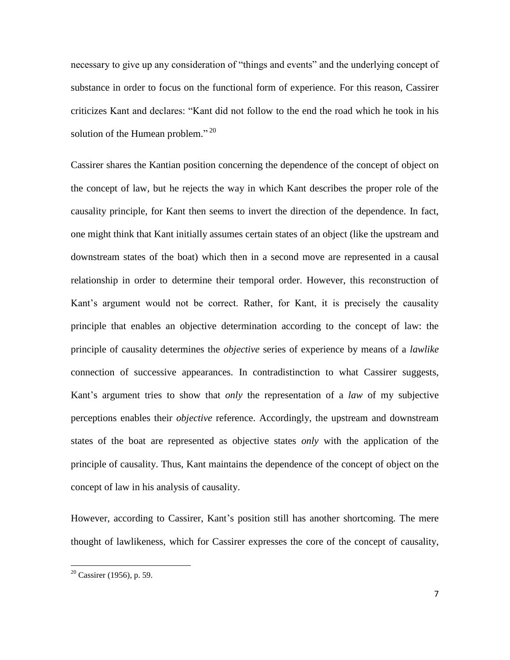necessary to give up any consideration of "things and events" and the underlying concept of substance in order to focus on the functional form of experience. For this reason, Cassirer criticizes Kant and declares: "Kant did not follow to the end the road which he took in his solution of the Humean problem."<sup>20</sup>

Cassirer shares the Kantian position concerning the dependence of the concept of object on the concept of law, but he rejects the way in which Kant describes the proper role of the causality principle, for Kant then seems to invert the direction of the dependence. In fact, one might think that Kant initially assumes certain states of an object (like the upstream and downstream states of the boat) which then in a second move are represented in a causal relationship in order to determine their temporal order. However, this reconstruction of Kant's argument would not be correct. Rather, for Kant, it is precisely the causality principle that enables an objective determination according to the concept of law: the principle of causality determines the *objective* series of experience by means of a *lawlike* connection of successive appearances. In contradistinction to what Cassirer suggests, Kant"s argument tries to show that *only* the representation of a *law* of my subjective perceptions enables their *objective* reference. Accordingly, the upstream and downstream states of the boat are represented as objective states *only* with the application of the principle of causality. Thus, Kant maintains the dependence of the concept of object on the concept of law in his analysis of causality.

However, according to Cassirer, Kant"s position still has another shortcoming. The mere thought of lawlikeness, which for Cassirer expresses the core of the concept of causality,

 $20$  Cassirer (1956), p. 59.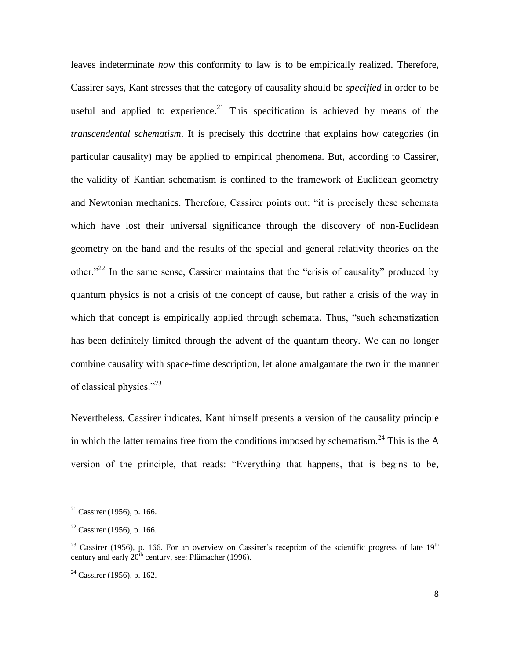leaves indeterminate *how* this conformity to law is to be empirically realized. Therefore, Cassirer says, Kant stresses that the category of causality should be *specified* in order to be useful and applied to experience.<sup>21</sup> This specification is achieved by means of the *transcendental schematism*. It is precisely this doctrine that explains how categories (in particular causality) may be applied to empirical phenomena. But, according to Cassirer, the validity of Kantian schematism is confined to the framework of Euclidean geometry and Newtonian mechanics. Therefore, Cassirer points out: "it is precisely these schemata which have lost their universal significance through the discovery of non-Euclidean geometry on the hand and the results of the special and general relativity theories on the other."<sup>22</sup> In the same sense, Cassirer maintains that the "crisis of causality" produced by quantum physics is not a crisis of the concept of cause, but rather a crisis of the way in which that concept is empirically applied through schemata. Thus, "such schematization has been definitely limited through the advent of the quantum theory. We can no longer combine causality with space-time description, let alone amalgamate the two in the manner of classical physics."<sup>23</sup>

Nevertheless, Cassirer indicates, Kant himself presents a version of the causality principle in which the latter remains free from the conditions imposed by schematism.<sup>24</sup> This is the A version of the principle, that reads: "Everything that happens, that is begins to be,

 $21$  Cassirer (1956), p. 166.

 $22$  Cassirer (1956), p. 166.

<sup>&</sup>lt;sup>23</sup> Cassirer (1956), p. 166. For an overview on Cassirer's reception of the scientific progress of late  $19<sup>th</sup>$ century and early  $20^{\text{th}}$  century, see: Plümacher (1996).

 $24$  Cassirer (1956), p. 162.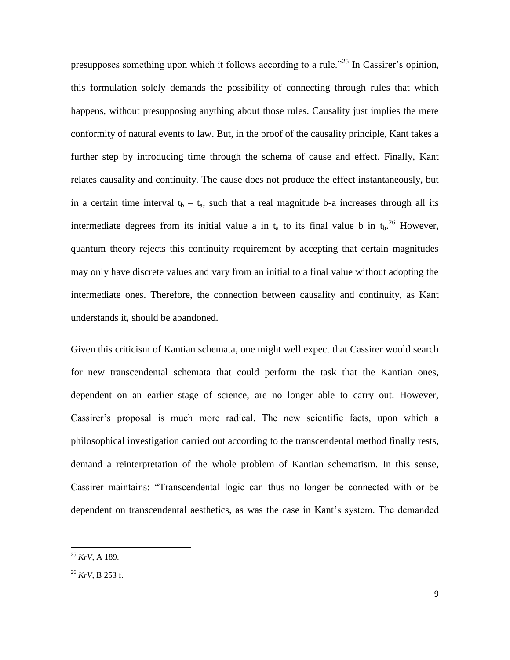presupposes something upon which it follows according to a rule."<sup>25</sup> In Cassirer's opinion, this formulation solely demands the possibility of connecting through rules that which happens, without presupposing anything about those rules. Causality just implies the mere conformity of natural events to law. But, in the proof of the causality principle, Kant takes a further step by introducing time through the schema of cause and effect. Finally, Kant relates causality and continuity. The cause does not produce the effect instantaneously, but in a certain time interval  $t_b - t_a$ , such that a real magnitude b-a increases through all its intermediate degrees from its initial value a in  $t_a$  to its final value b in  $t_b$ .<sup>26</sup> However, quantum theory rejects this continuity requirement by accepting that certain magnitudes may only have discrete values and vary from an initial to a final value without adopting the intermediate ones. Therefore, the connection between causality and continuity, as Kant understands it, should be abandoned.

Given this criticism of Kantian schemata, one might well expect that Cassirer would search for new transcendental schemata that could perform the task that the Kantian ones, dependent on an earlier stage of science, are no longer able to carry out. However, Cassirer"s proposal is much more radical. The new scientific facts, upon which a philosophical investigation carried out according to the transcendental method finally rests, demand a reinterpretation of the whole problem of Kantian schematism. In this sense, Cassirer maintains: "Transcendental logic can thus no longer be connected with or be dependent on transcendental aesthetics, as was the case in Kant"s system. The demanded

<sup>25</sup> *KrV*, A 189.

<sup>26</sup> *KrV*, B 253 f.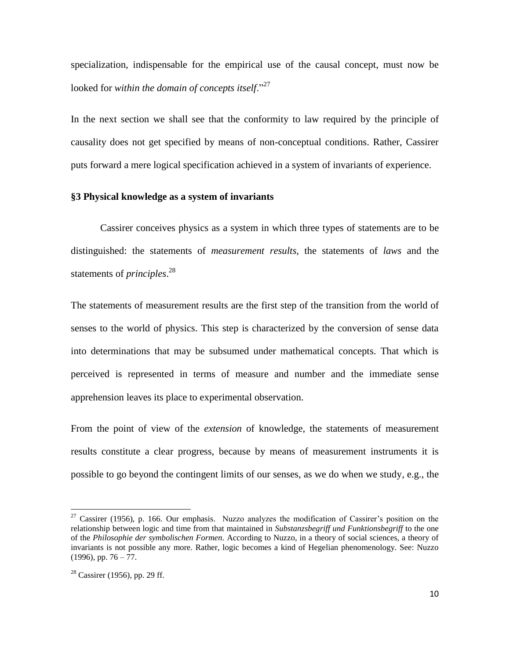specialization, indispensable for the empirical use of the causal concept, must now be looked for *within the domain of concepts itself*."<sup>27</sup>

In the next section we shall see that the conformity to law required by the principle of causality does not get specified by means of non-conceptual conditions. Rather, Cassirer puts forward a mere logical specification achieved in a system of invariants of experience.

## **§3 Physical knowledge as a system of invariants**

Cassirer conceives physics as a system in which three types of statements are to be distinguished: the statements of *measurement results*, the statements of *laws* and the statements of *principles*. 28

The statements of measurement results are the first step of the transition from the world of senses to the world of physics. This step is characterized by the conversion of sense data into determinations that may be subsumed under mathematical concepts. That which is perceived is represented in terms of measure and number and the immediate sense apprehension leaves its place to experimental observation.

From the point of view of the *extension* of knowledge, the statements of measurement results constitute a clear progress, because by means of measurement instruments it is possible to go beyond the contingent limits of our senses, as we do when we study, e.g., the

 $27$  Cassirer (1956), p. 166. Our emphasis. Nuzzo analyzes the modification of Cassirer's position on the relationship between logic and time from that maintained in *Substanzsbegriff und Funktionsbegriff* to the one of the *Philosophie der symbolischen Formen.* According to Nuzzo, in a theory of social sciences, a theory of invariants is not possible any more. Rather, logic becomes a kind of Hegelian phenomenology. See: Nuzzo  $(1996)$ , pp. 76 – 77.

 $28$  Cassirer (1956), pp. 29 ff.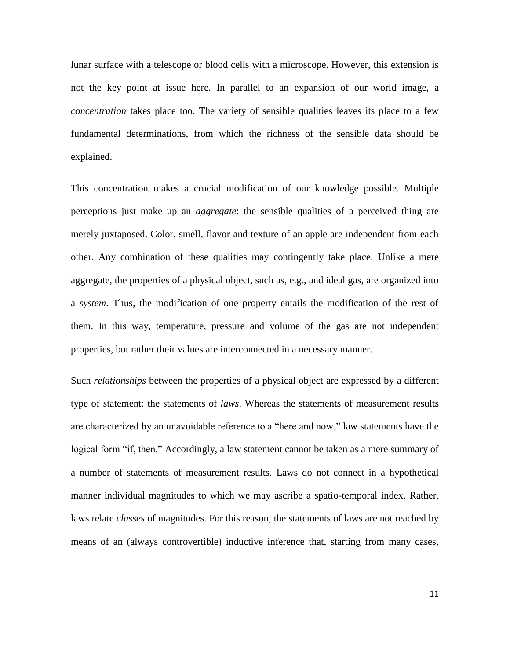lunar surface with a telescope or blood cells with a microscope. However, this extension is not the key point at issue here. In parallel to an expansion of our world image, a *concentration* takes place too. The variety of sensible qualities leaves its place to a few fundamental determinations, from which the richness of the sensible data should be explained.

This concentration makes a crucial modification of our knowledge possible. Multiple perceptions just make up an *aggregate*: the sensible qualities of a perceived thing are merely juxtaposed. Color, smell, flavor and texture of an apple are independent from each other. Any combination of these qualities may contingently take place. Unlike a mere aggregate, the properties of a physical object, such as, e.g., and ideal gas, are organized into a *system*. Thus, the modification of one property entails the modification of the rest of them. In this way, temperature, pressure and volume of the gas are not independent properties, but rather their values are interconnected in a necessary manner.

Such *relationships* between the properties of a physical object are expressed by a different type of statement: the statements of *laws*. Whereas the statements of measurement results are characterized by an unavoidable reference to a "here and now," law statements have the logical form "if, then." Accordingly, a law statement cannot be taken as a mere summary of a number of statements of measurement results. Laws do not connect in a hypothetical manner individual magnitudes to which we may ascribe a spatio-temporal index. Rather, laws relate *classes* of magnitudes. For this reason, the statements of laws are not reached by means of an (always controvertible) inductive inference that, starting from many cases,

11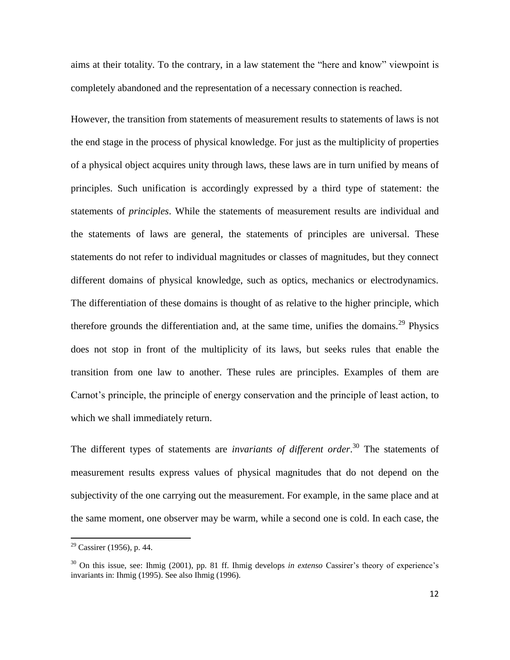aims at their totality. To the contrary, in a law statement the "here and know" viewpoint is completely abandoned and the representation of a necessary connection is reached.

However, the transition from statements of measurement results to statements of laws is not the end stage in the process of physical knowledge. For just as the multiplicity of properties of a physical object acquires unity through laws, these laws are in turn unified by means of principles. Such unification is accordingly expressed by a third type of statement: the statements of *principles*. While the statements of measurement results are individual and the statements of laws are general, the statements of principles are universal. These statements do not refer to individual magnitudes or classes of magnitudes, but they connect different domains of physical knowledge, such as optics, mechanics or electrodynamics. The differentiation of these domains is thought of as relative to the higher principle, which therefore grounds the differentiation and, at the same time, unifies the domains.<sup>29</sup> Physics does not stop in front of the multiplicity of its laws, but seeks rules that enable the transition from one law to another. These rules are principles. Examples of them are Carnot's principle, the principle of energy conservation and the principle of least action, to which we shall immediately return.

The different types of statements are *invariants of different order*. <sup>30</sup> The statements of measurement results express values of physical magnitudes that do not depend on the subjectivity of the one carrying out the measurement. For example, in the same place and at the same moment, one observer may be warm, while a second one is cold. In each case, the

 $29$  Cassirer (1956), p. 44.

<sup>&</sup>lt;sup>30</sup> On this issue, see: Ihmig (2001), pp. 81 ff. Ihmig develops *in extenso* Cassirer's theory of experience's invariants in: Ihmig (1995). See also Ihmig (1996).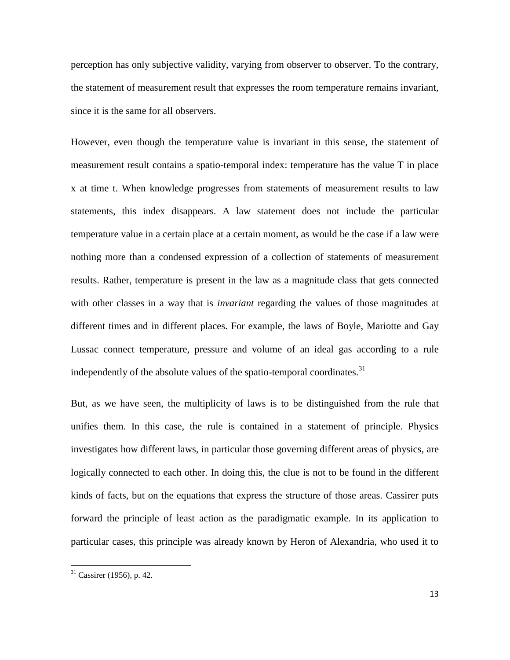perception has only subjective validity, varying from observer to observer. To the contrary, the statement of measurement result that expresses the room temperature remains invariant, since it is the same for all observers.

However, even though the temperature value is invariant in this sense, the statement of measurement result contains a spatio-temporal index: temperature has the value T in place x at time t. When knowledge progresses from statements of measurement results to law statements, this index disappears. A law statement does not include the particular temperature value in a certain place at a certain moment, as would be the case if a law were nothing more than a condensed expression of a collection of statements of measurement results. Rather, temperature is present in the law as a magnitude class that gets connected with other classes in a way that is *invariant* regarding the values of those magnitudes at different times and in different places. For example, the laws of Boyle, Mariotte and Gay Lussac connect temperature, pressure and volume of an ideal gas according to a rule independently of the absolute values of the spatio-temporal coordinates.<sup>31</sup>

But, as we have seen, the multiplicity of laws is to be distinguished from the rule that unifies them. In this case, the rule is contained in a statement of principle. Physics investigates how different laws, in particular those governing different areas of physics, are logically connected to each other. In doing this, the clue is not to be found in the different kinds of facts, but on the equations that express the structure of those areas. Cassirer puts forward the principle of least action as the paradigmatic example. In its application to particular cases, this principle was already known by Heron of Alexandria, who used it to

 $31$  Cassirer (1956), p. 42.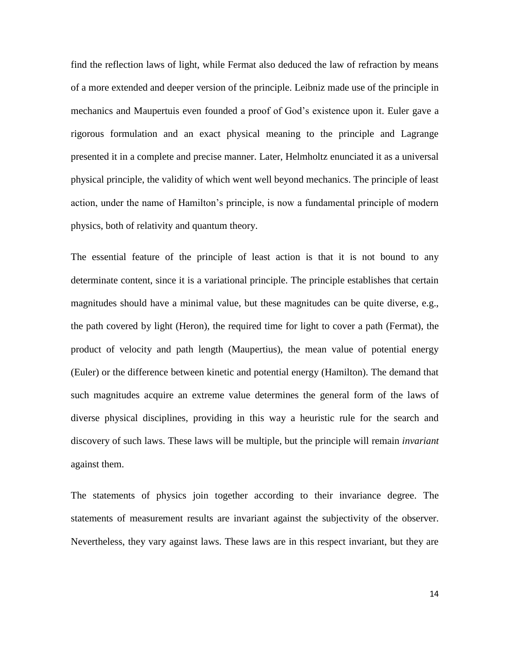find the reflection laws of light, while Fermat also deduced the law of refraction by means of a more extended and deeper version of the principle. Leibniz made use of the principle in mechanics and Maupertuis even founded a proof of God"s existence upon it. Euler gave a rigorous formulation and an exact physical meaning to the principle and Lagrange presented it in a complete and precise manner. Later, Helmholtz enunciated it as a universal physical principle, the validity of which went well beyond mechanics. The principle of least action, under the name of Hamilton"s principle, is now a fundamental principle of modern physics, both of relativity and quantum theory.

The essential feature of the principle of least action is that it is not bound to any determinate content, since it is a variational principle. The principle establishes that certain magnitudes should have a minimal value, but these magnitudes can be quite diverse, e.g., the path covered by light (Heron), the required time for light to cover a path (Fermat), the product of velocity and path length (Maupertius), the mean value of potential energy (Euler) or the difference between kinetic and potential energy (Hamilton). The demand that such magnitudes acquire an extreme value determines the general form of the laws of diverse physical disciplines, providing in this way a heuristic rule for the search and discovery of such laws. These laws will be multiple, but the principle will remain *invariant*  against them.

The statements of physics join together according to their invariance degree. The statements of measurement results are invariant against the subjectivity of the observer. Nevertheless, they vary against laws. These laws are in this respect invariant, but they are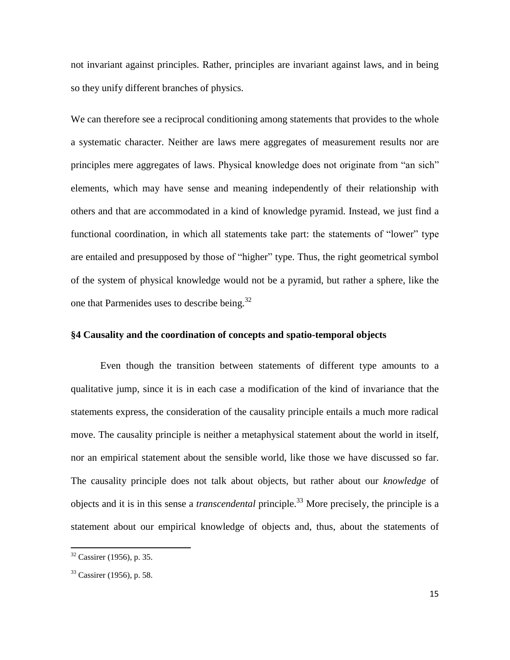not invariant against principles. Rather, principles are invariant against laws, and in being so they unify different branches of physics.

We can therefore see a reciprocal conditioning among statements that provides to the whole a systematic character. Neither are laws mere aggregates of measurement results nor are principles mere aggregates of laws. Physical knowledge does not originate from "an sich" elements, which may have sense and meaning independently of their relationship with others and that are accommodated in a kind of knowledge pyramid. Instead, we just find a functional coordination, in which all statements take part: the statements of "lower" type are entailed and presupposed by those of "higher" type. Thus, the right geometrical symbol of the system of physical knowledge would not be a pyramid, but rather a sphere, like the one that Parmenides uses to describe being.<sup>32</sup>

# **§4 Causality and the coordination of concepts and spatio-temporal objects**

Even though the transition between statements of different type amounts to a qualitative jump, since it is in each case a modification of the kind of invariance that the statements express, the consideration of the causality principle entails a much more radical move. The causality principle is neither a metaphysical statement about the world in itself, nor an empirical statement about the sensible world, like those we have discussed so far. The causality principle does not talk about objects, but rather about our *knowledge* of objects and it is in this sense a *transcendental* principle.<sup>33</sup> More precisely, the principle is a statement about our empirical knowledge of objects and, thus, about the statements of

 $32$  Cassirer (1956), p. 35.

 $33$  Cassirer (1956), p. 58.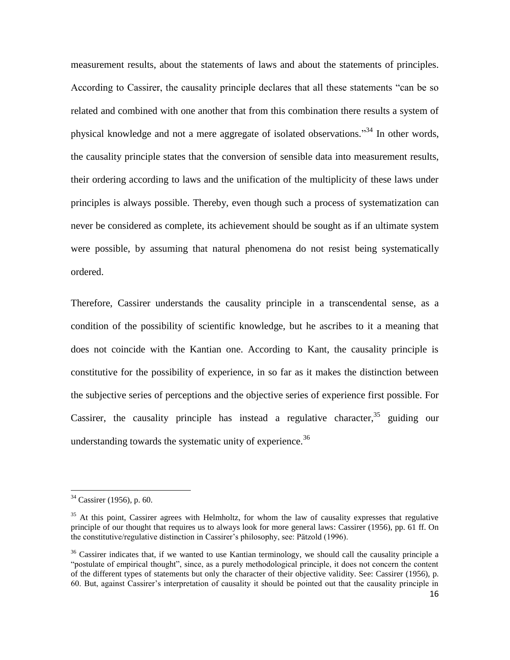measurement results, about the statements of laws and about the statements of principles. According to Cassirer, the causality principle declares that all these statements "can be so related and combined with one another that from this combination there results a system of physical knowledge and not a mere aggregate of isolated observations."<sup>34</sup> In other words, the causality principle states that the conversion of sensible data into measurement results, their ordering according to laws and the unification of the multiplicity of these laws under principles is always possible. Thereby, even though such a process of systematization can never be considered as complete, its achievement should be sought as if an ultimate system were possible, by assuming that natural phenomena do not resist being systematically ordered.

Therefore, Cassirer understands the causality principle in a transcendental sense, as a condition of the possibility of scientific knowledge, but he ascribes to it a meaning that does not coincide with the Kantian one. According to Kant, the causality principle is constitutive for the possibility of experience, in so far as it makes the distinction between the subjective series of perceptions and the objective series of experience first possible. For Cassirer, the causality principle has instead a regulative character,  $35$  guiding our understanding towards the systematic unity of experience.<sup>36</sup>

<sup>&</sup>lt;sup>34</sup> Cassirer (1956), p. 60.

<sup>&</sup>lt;sup>35</sup> At this point, Cassirer agrees with Helmholtz, for whom the law of causality expresses that regulative principle of our thought that requires us to always look for more general laws: Cassirer (1956), pp. 61 ff. On the constitutive/regulative distinction in Cassirer"s philosophy, see: Pätzold (1996).

<sup>&</sup>lt;sup>36</sup> Cassirer indicates that, if we wanted to use Kantian terminology, we should call the causality principle a "postulate of empirical thought", since, as a purely methodological principle, it does not concern the content of the different types of statements but only the character of their objective validity. See: Cassirer (1956), p. 60. But, against Cassirer"s interpretation of causality it should be pointed out that the causality principle in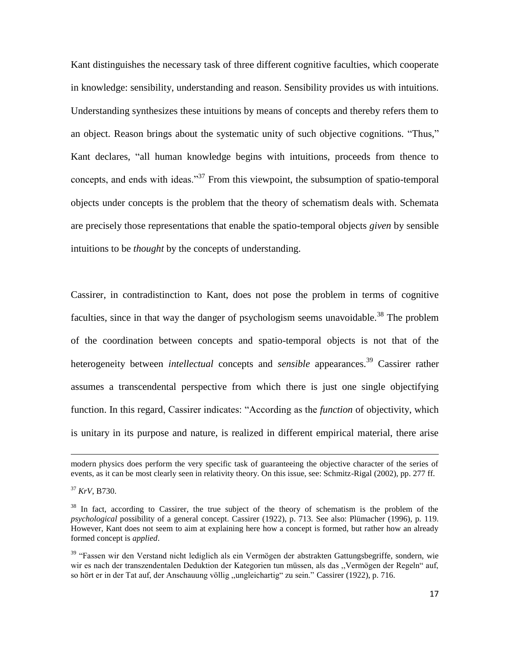Kant distinguishes the necessary task of three different cognitive faculties, which cooperate in knowledge: sensibility, understanding and reason. Sensibility provides us with intuitions. Understanding synthesizes these intuitions by means of concepts and thereby refers them to an object. Reason brings about the systematic unity of such objective cognitions. "Thus," Kant declares, "all human knowledge begins with intuitions, proceeds from thence to concepts, and ends with ideas."<sup>37</sup> From this viewpoint, the subsumption of spatio-temporal objects under concepts is the problem that the theory of schematism deals with. Schemata are precisely those representations that enable the spatio-temporal objects *given* by sensible intuitions to be *thought* by the concepts of understanding.

Cassirer, in contradistinction to Kant, does not pose the problem in terms of cognitive faculties, since in that way the danger of psychologism seems unavoidable.<sup>38</sup> The problem of the coordination between concepts and spatio-temporal objects is not that of the heterogeneity between *intellectual* concepts and *sensible* appearances. <sup>39</sup> Cassirer rather assumes a transcendental perspective from which there is just one single objectifying function. In this regard, Cassirer indicates: "According as the *function* of objectivity, which is unitary in its purpose and nature, is realized in different empirical material, there arise

**.** 

modern physics does perform the very specific task of guaranteeing the objective character of the series of events, as it can be most clearly seen in relativity theory. On this issue, see: Schmitz-Rigal (2002), pp. 277 ff.

<sup>37</sup> *KrV*, B730.

<sup>&</sup>lt;sup>38</sup> In fact, according to Cassirer, the true subject of the theory of schematism is the problem of the *psychological* possibility of a general concept. Cassirer (1922), p. 713. See also: Plümacher (1996), p. 119. However, Kant does not seem to aim at explaining here how a concept is formed, but rather how an already formed concept is *applied*.

<sup>&</sup>lt;sup>39</sup> "Fassen wir den Verstand nicht lediglich als ein Vermögen der abstrakten Gattungsbegriffe, sondern, wie wir es nach der transzendentalen Deduktion der Kategorien tun müssen, als das ,,Vermögen der Regeln" auf, so hört er in der Tat auf, der Anschauung völlig ,,ungleichartig" zu sein." Cassirer (1922), p. 716.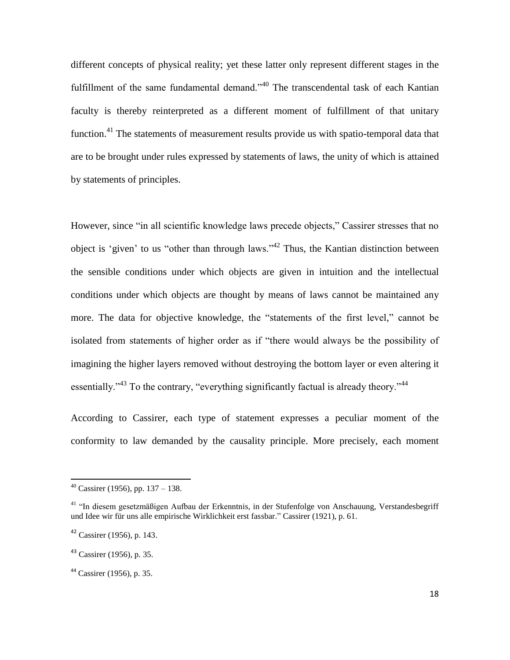different concepts of physical reality; yet these latter only represent different stages in the fulfillment of the same fundamental demand."<sup>40</sup> The transcendental task of each Kantian faculty is thereby reinterpreted as a different moment of fulfillment of that unitary function.<sup>41</sup> The statements of measurement results provide us with spatio-temporal data that are to be brought under rules expressed by statements of laws, the unity of which is attained by statements of principles.

However, since "in all scientific knowledge laws precede objects," Cassirer stresses that no object is "given" to us "other than through laws."<sup>42</sup> Thus, the Kantian distinction between the sensible conditions under which objects are given in intuition and the intellectual conditions under which objects are thought by means of laws cannot be maintained any more. The data for objective knowledge, the "statements of the first level," cannot be isolated from statements of higher order as if "there would always be the possibility of imagining the higher layers removed without destroying the bottom layer or even altering it essentially."<sup>43</sup> To the contrary, "everything significantly factual is already theory."<sup>44</sup>

According to Cassirer, each type of statement expresses a peculiar moment of the conformity to law demanded by the causality principle. More precisely, each moment

 $40$  Cassirer (1956), pp. 137 – 138.

<sup>&</sup>lt;sup>41</sup> "In diesem gesetzmäßigen Aufbau der Erkenntnis, in der Stufenfolge von Anschauung, Verstandesbegriff und Idee wir für uns alle empirische Wirklichkeit erst fassbar." Cassirer (1921), p. 61.

 $42$  Cassirer (1956), p. 143.

 $43$  Cassirer (1956), p. 35.

<sup>44</sup> Cassirer (1956), p. 35.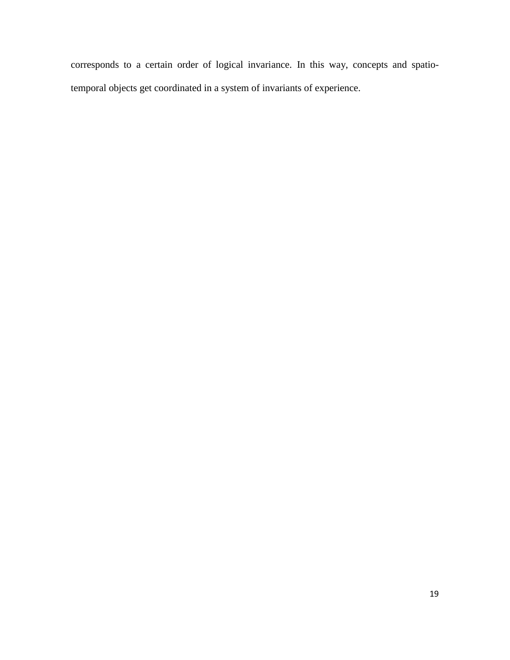corresponds to a certain order of logical invariance. In this way, concepts and spatiotemporal objects get coordinated in a system of invariants of experience.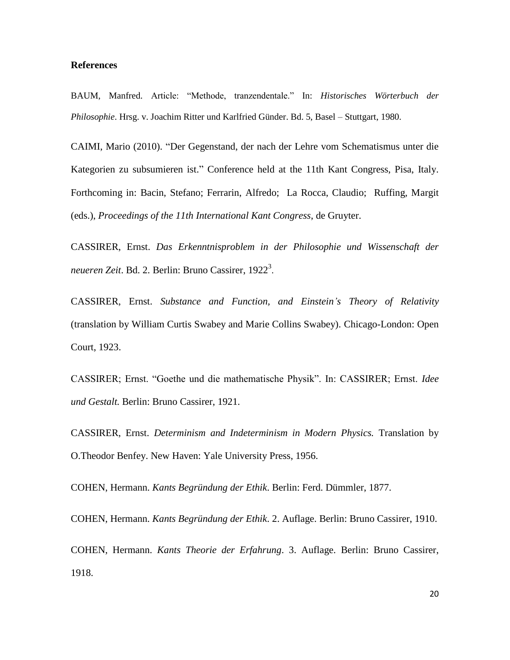#### **References**

BAUM, Manfred. Article: "Methode, tranzendentale." In: *Historisches Wörterbuch der Philosophie*. Hrsg. v. Joachim Ritter und Karlfried Günder. Bd. 5, Basel – Stuttgart, 1980.

CAIMI, Mario (2010). "Der Gegenstand, der nach der Lehre vom Schematismus unter die Kategorien zu subsumieren ist." Conference held at the 11th Kant Congress, Pisa, Italy. Forthcoming in: Bacin, Stefano; Ferrarin, Alfredo; La Rocca, Claudio; Ruffing, Margit (eds.), *Proceedings of the 11th International Kant Congress*, de Gruyter.

CASSIRER, Ernst. *Das Erkenntnisproblem in der Philosophie und Wissenschaft der neueren Zeit*. Bd. 2. Berlin: Bruno Cassirer, 1922<sup>3</sup> .

CASSIRER, Ernst. *Substance and Function, and Einstein's Theory of Relativity* (translation by William Curtis Swabey and Marie Collins Swabey). Chicago-London: Open Court, 1923.

CASSIRER; Ernst. "Goethe und die mathematische Physik". In: CASSIRER; Ernst. *Idee und Gestalt.* Berlin: Bruno Cassirer, 1921.

CASSIRER, Ernst. *Determinism and Indeterminism in Modern Physics.* Translation by O.Theodor Benfey. New Haven: Yale University Press, 1956.

COHEN, Hermann. *Kants Begründung der Ethik*. Berlin: Ferd. Dümmler, 1877.

COHEN, Hermann. *Kants Begründung der Ethik*. 2. Auflage. Berlin: Bruno Cassirer, 1910.

COHEN, Hermann. *Kants Theorie der Erfahrung*. 3. Auflage. Berlin: Bruno Cassirer, 1918.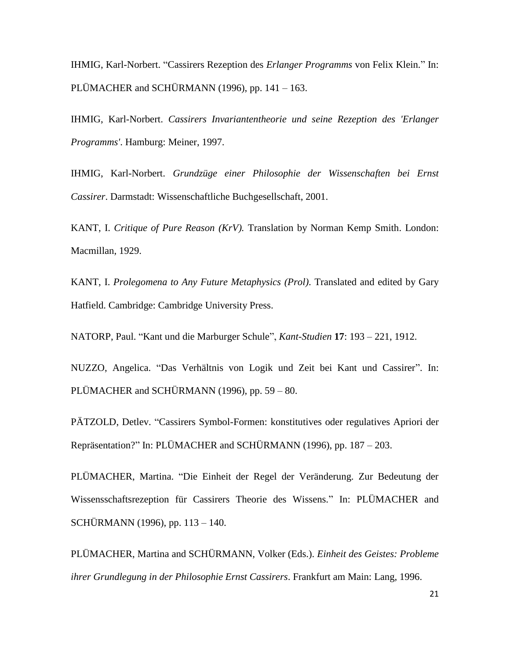IHMIG, Karl-Norbert. "Cassirers Rezeption des *Erlanger Programms* von Felix Klein." In: PLÜMACHER and SCHÜRMANN (1996), pp. 141 – 163.

IHMIG, Karl-Norbert. *Cassirers Invariantentheorie und seine Rezeption des 'Erlanger Programms'*. Hamburg: Meiner, 1997.

IHMIG, Karl-Norbert. *Grundzüge einer Philosophie der Wissenschaften bei Ernst Cassirer*. Darmstadt: Wissenschaftliche Buchgesellschaft, 2001.

KANT, I. *Critique of Pure Reason (KrV).* Translation by Norman Kemp Smith. London: Macmillan, 1929.

KANT, I. *Prolegomena to Any Future Metaphysics (Prol)*. Translated and edited by Gary Hatfield. Cambridge: Cambridge University Press.

NATORP, Paul. "Kant und die Marburger Schule", *Kant-Studien* **17**: 193 – 221, 1912.

NUZZO, Angelica. "Das Verhältnis von Logik und Zeit bei Kant und Cassirer". In: PLÜMACHER and SCHÜRMANN (1996), pp. 59 – 80.

PÄTZOLD, Detlev. "Cassirers Symbol-Formen: konstitutives oder regulatives Apriori der Repräsentation?" In: PLÜMACHER and SCHÜRMANN (1996), pp. 187 – 203.

PLÜMACHER, Martina. "Die Einheit der Regel der Veränderung. Zur Bedeutung der Wissensschaftsrezeption für Cassirers Theorie des Wissens." In: PLÜMACHER and SCHÜRMANN (1996), pp. 113 – 140.

PLÜMACHER, Martina and SCHÜRMANN, Volker (Eds.). *Einheit des Geistes: Probleme ihrer Grundlegung in der Philosophie Ernst Cassirers*. Frankfurt am Main: Lang, 1996.